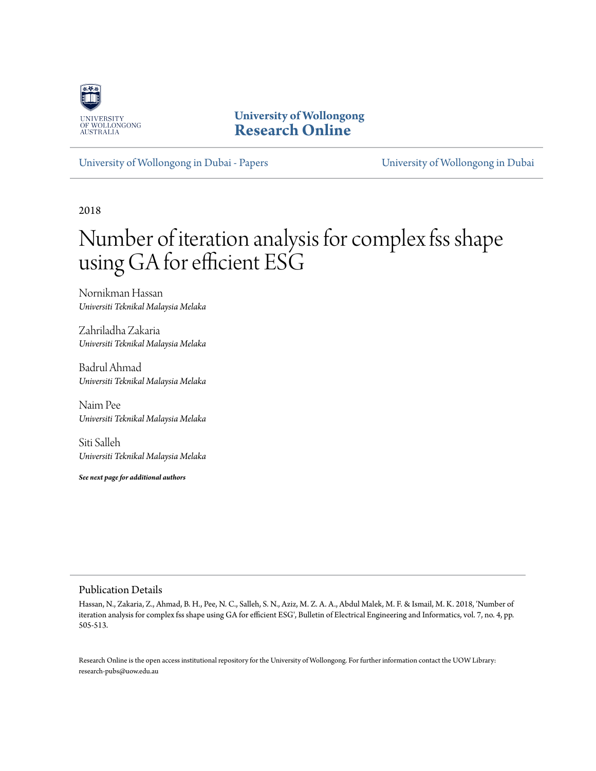

**University of Wollongong [Research Online](https://ro.uow.edu.au)**

[University of Wollongong in Dubai - Papers](https://ro.uow.edu.au/dubaipapers) [University of Wollongong in Dubai](https://ro.uow.edu.au/dubai)

2018

# Number of iteration analysis for complex fss shape using GA for efficient ESG

Nornikman Hassan *Universiti Teknikal Malaysia Melaka*

Zahriladha Zakaria *Universiti Teknikal Malaysia Melaka*

Badrul Ahmad *Universiti Teknikal Malaysia Melaka*

Naim Pee *Universiti Teknikal Malaysia Melaka*

Siti Salleh *Universiti Teknikal Malaysia Melaka*

*See next page for additional authors*

### Publication Details

Hassan, N., Zakaria, Z., Ahmad, B. H., Pee, N. C., Salleh, S. N., Aziz, M. Z. A. A., Abdul Malek, M. F. & Ismail, M. K. 2018, 'Number of iteration analysis for complex fss shape using GA for efficient ESG', Bulletin of Electrical Engineering and Informatics, vol. 7, no. 4, pp. 505-513.

Research Online is the open access institutional repository for the University of Wollongong. For further information contact the UOW Library: research-pubs@uow.edu.au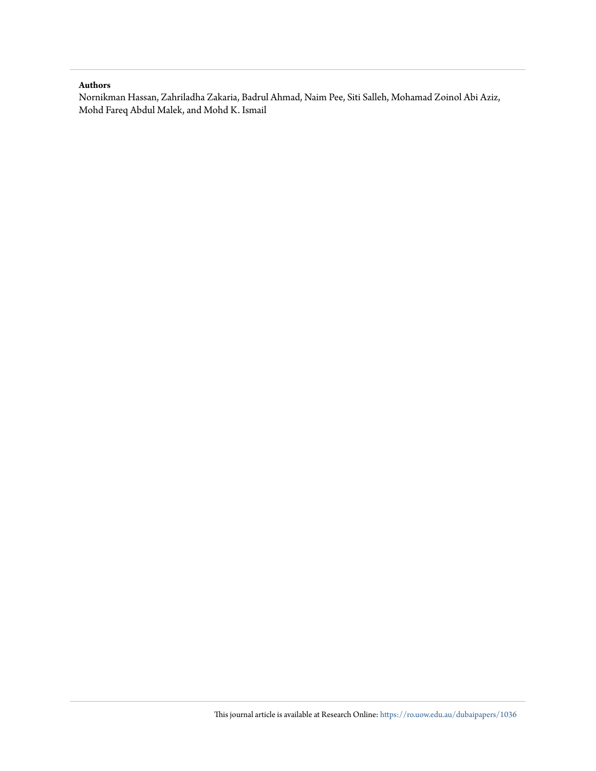#### **Authors**

Nornikman Hassan, Zahriladha Zakaria, Badrul Ahmad, Naim Pee, Siti Salleh, Mohamad Zoinol Abi Aziz, Mohd Fareq Abdul Malek, and Mohd K. Ismail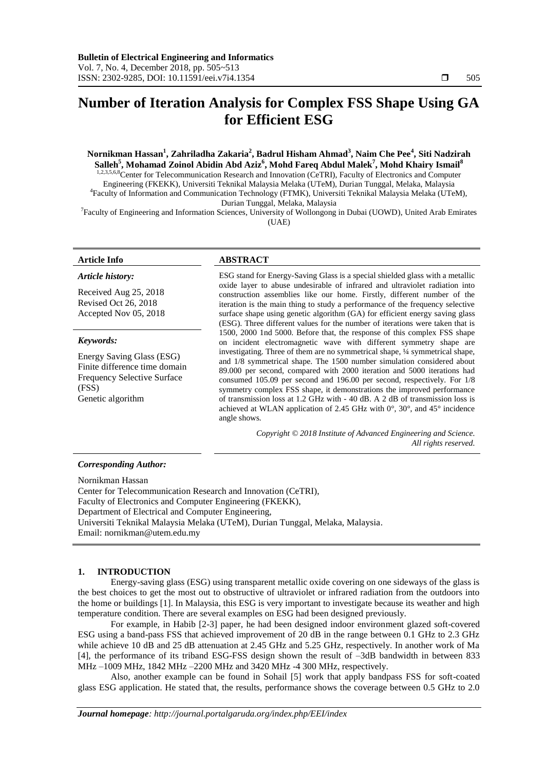## **Number of Iteration Analysis for Complex FSS Shape Using GA for Efficient ESG**

**Nornikman Hassan<sup>1</sup> , Zahriladha Zakaria<sup>2</sup> , Badrul Hisham Ahmad<sup>3</sup> , Naim Che Pee<sup>4</sup> , Siti Nadzirah Salleh<sup>5</sup> , Mohamad Zoinol Abidin Abd Aziz<sup>6</sup> , Mohd Fareq Abdul Malek<sup>7</sup> , Mohd Khairy Ismail<sup>8</sup>** 1,2,3,5,6,8<sup>C</sup>enter for Telecommunication Research and Innovation (CeTRI), Faculty of Electronics and Computer Engineering (FKEKK), Universiti Teknikal Malaysia Melaka (UTeM), Durian Tunggal, Melaka, Malaysia 4 Faculty of Information and Communication Technology (FTMK), Universiti Teknikal Malaysia Melaka (UTeM), Durian Tunggal, Melaka, Malaysia

7 Faculty of Engineering and Information Sciences, University of Wollongong in Dubai (UOWD), United Arab Emirates (UAE)

#### *Article history:*

Received Aug 25, 2018 Revised Oct 26, 2018 Accepted Nov 05, 2018

#### *Keywords:*

Energy Saving Glass (ESG) Finite difference time domain Frequency Selective Surface (FSS) Genetic algorithm

#### **Article Info ABSTRACT**

ESG stand for Energy-Saving Glass is a special shielded glass with a metallic oxide layer to abuse undesirable of infrared and ultraviolet radiation into construction assemblies like our home. Firstly, different number of the iteration is the main thing to study a performance of the frequency selective surface shape using genetic algorithm (GA) for efficient energy saving glass (ESG). Three different values for the number of iterations were taken that is 1500, 2000 1nd 5000. Before that, the response of this complex FSS shape on incident electromagnetic wave with different symmetry shape are investigating. Three of them are no symmetrical shape, ¼ symmetrical shape, and 1/8 symmetrical shape. The 1500 number simulation considered about 89.000 per second, compared with 2000 iteration and 5000 iterations had consumed 105.09 per second and 196.00 per second, respectively. For 1/8 symmetry complex FSS shape, it demonstrations the improved performance of transmission loss at 1.2 GHz with - 40 dB. A 2 dB of transmission loss is achieved at WLAN application of 2.45 GHz with  $0^{\circ}$ ,  $30^{\circ}$ , and  $45^{\circ}$  incidence angle shows*.*

> *Copyright © 2018 Institute of Advanced Engineering and Science. All rights reserved.*

#### *Corresponding Author:*

Nornikman Hassan Center for Telecommunication Research and Innovation (CeTRI), Faculty of Electronics and Computer Engineering (FKEKK), Department of Electrical and Computer Engineering, Universiti Teknikal Malaysia Melaka (UTeM), Durian Tunggal, Melaka, Malaysia. Email: nornikman@utem.edu.my

#### **1. INTRODUCTION**

Energy-saving glass (ESG) using transparent metallic oxide covering on one sideways of the glass is the best choices to get the most out to obstructive of ultraviolet or infrared radiation from the outdoors into the home or buildings [1]. In Malaysia, this ESG is very important to investigate because its weather and high temperature condition. There are several examples on ESG had been designed previously.

For example, in Habib [2-3] paper, he had been designed indoor environment glazed soft-covered ESG using a band-pass FSS that achieved improvement of 20 dB in the range between 0.1 GHz to 2.3 GHz while achieve 10 dB and 25 dB attenuation at 2.45 GHz and 5.25 GHz, respectively. In another work of Ma [4], the performance of its triband ESG-FSS design shown the result of –3dB bandwidth in between 833 MHz –1009 MHz, 1842 MHz –2200 MHz and 3420 MHz -4 300 MHz, respectively.

Also, another example can be found in Sohail [5] work that apply bandpass FSS for soft-coated glass ESG application. He stated that, the results, performance shows the coverage between 0.5 GHz to 2.0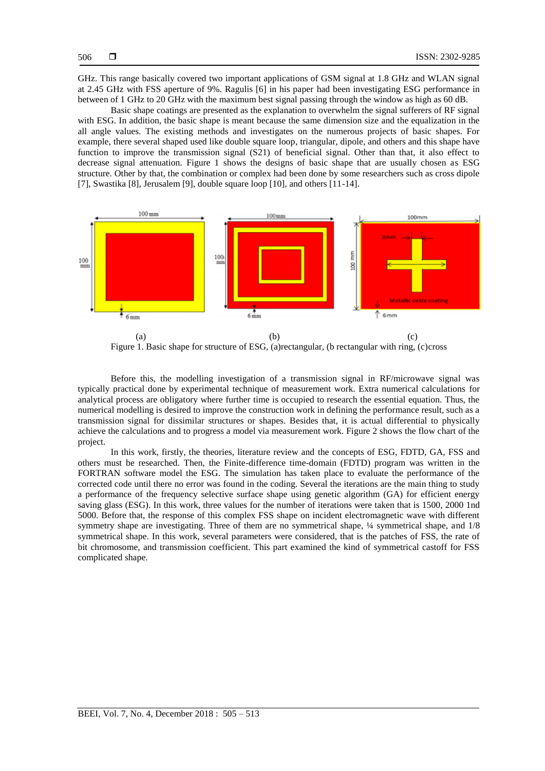GHz. This range basically covered two important applications of GSM signal at 1.8 GHz and WLAN signal at 2.45 GHz with FSS aperture of 9%. Ragulis [6] in his paper had been investigating ESG performance in between of 1 GHz to 20 GHz with the maximum best signal passing through the window as high as 60 dB.

Basic shape coatings are presented as the explanation to overwhelm the signal sufferers of RF signal with ESG. In addition, the basic shape is meant because the same dimension size and the equalization in the all angle values. The existing methods and investigates on the numerous projects of basic shapes. For example, there several shaped used like double square loop, triangular, dipole, and others and this shape have function to improve the transmission signal (S21) of beneficial signal. Other than that, it also effect to decrease signal attenuation. Figure 1 shows the designs of basic shape that are usually chosen as ESG structure. Other by that, the combination or complex had been done by some researchers such as cross dipole [7], Swastika [8], Jerusalem [9], double square loop [10], and others [11-14].



Figure 1. Basic shape for structure of ESG, (a)rectangular, (b rectangular with ring, (c)cross

Before this, the modelling investigation of a transmission signal in RF/microwave signal was typically practical done by experimental technique of measurement work. Extra numerical calculations for analytical process are obligatory where further time is occupied to research the essential equation. Thus, the numerical modelling is desired to improve the construction work in defining the performance result, such as a transmission signal for dissimilar structures or shapes. Besides that, it is actual differential to physically achieve the calculations and to progress a model via measurement work. Figure 2 shows the flow chart of the project.

In this work, firstly, the theories, literature review and the concepts of ESG, FDTD, GA, FSS and others must be researched. Then, the Finite-difference time-domain (FDTD) program was written in the FORTRAN software model the ESG. The simulation has taken place to evaluate the performance of the corrected code until there no error was found in the coding. Several the iterations are the main thing to study a performance of the frequency selective surface shape using genetic algorithm (GA) for efficient energy saving glass (ESG). In this work, three values for the number of iterations were taken that is 1500, 2000 1nd 5000. Before that, the response of this complex FSS shape on incident electromagnetic wave with different symmetry shape are investigating. Three of them are no symmetrical shape,  $\frac{1}{4}$  symmetrical shape, and 1/8 symmetrical shape. In this work, several parameters were considered, that is the patches of FSS, the rate of bit chromosome, and transmission coefficient. This part examined the kind of symmetrical castoff for FSS complicated shape.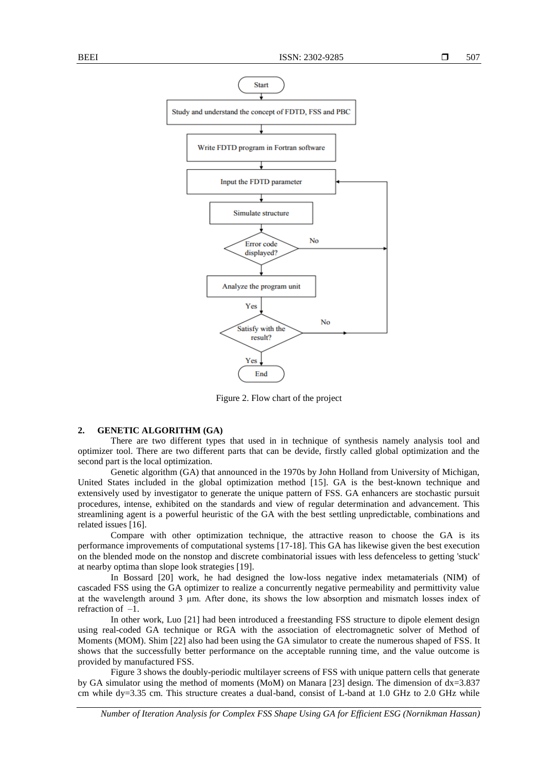

Figure 2. Flow chart of the project

### **2. GENETIC ALGORITHM (GA)**

There are two different types that used in in technique of synthesis namely analysis tool and optimizer tool. There are two different parts that can be devide, firstly called global optimization and the second part is the local optimization.

Genetic algorithm (GA) that announced in the 1970s by John Holland from University of Michigan, United States included in the global optimization method [15]. GA is the best-known technique and extensively used by investigator to generate the unique pattern of FSS. GA enhancers are stochastic pursuit procedures, intense, exhibited on the standards and view of regular determination and advancement. This streamlining agent is a powerful heuristic of the GA with the best settling unpredictable, combinations and related issues [16].

Compare with other optimization technique, the attractive reason to choose the GA is its performance improvements of computational systems [17-18]. This GA has likewise given the best execution on the blended mode on the nonstop and discrete combinatorial issues with less defenceless to getting 'stuck' at nearby optima than slope look strategies [19].

In Bossard [20] work, he had designed the low-loss negative index metamaterials (NIM) of cascaded FSS using the GA optimizer to realize a concurrently negative permeability and permittivity value at the wavelength around 3 μm. After done, its shows the low absorption and mismatch losses index of refraction of  $-1$ .

In other work, Luo [21] had been introduced a freestanding FSS structure to dipole element design using real-coded GA technique or RGA with the association of electromagnetic solver of Method of Moments (MOM). Shim [22] also had been using the GA simulator to create the numerous shaped of FSS. It shows that the successfully better performance on the acceptable running time, and the value outcome is provided by manufactured FSS.

Figure 3 shows the doubly-periodic multilayer screens of FSS with unique pattern cells that generate by GA simulator using the method of moments (MoM) on Manara [23] design. The dimension of dx=3.837 cm while dy=3.35 cm. This structure creates a dual-band, consist of L-band at 1.0 GHz to 2.0 GHz while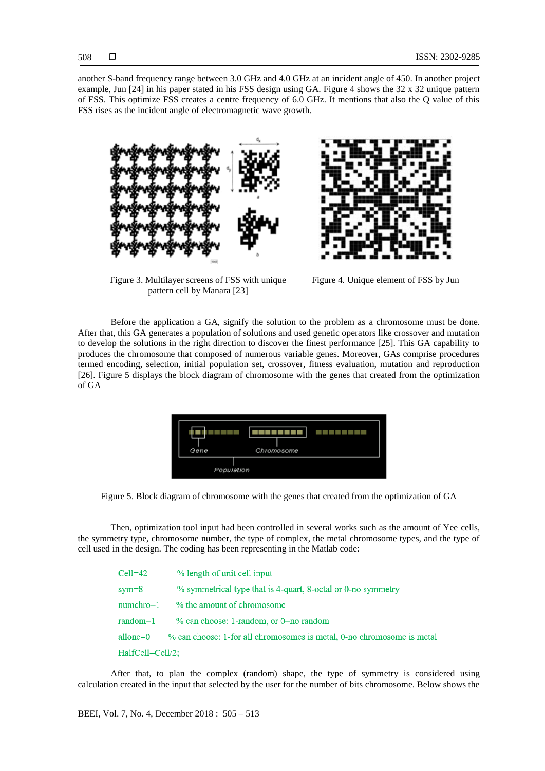another S-band frequency range between 3.0 GHz and 4.0 GHz at an incident angle of 450. In another project example, Jun [24] in his paper stated in his FSS design using GA. Figure 4 shows the 32 x 32 unique pattern of FSS. This optimize FSS creates a centre frequency of 6.0 GHz. It mentions that also the Q value of this FSS rises as the incident angle of electromagnetic wave growth.



Figure 3. Multilayer screens of FSS with unique pattern cell by Manara [23]

Figure 4. Unique element of FSS by Jun

Before the application a GA, signify the solution to the problem as a chromosome must be done. After that, this GA generates a population of solutions and used genetic operators like crossover and mutation to develop the solutions in the right direction to discover the finest performance [25]. This GA capability to produces the chromosome that composed of numerous variable genes. Moreover, GAs comprise procedures termed encoding, selection, initial population set, crossover, fitness evaluation, mutation and reproduction [26]. Figure 5 displays the block diagram of chromosome with the genes that created from the optimization of GA

| Gene | Chromosome |
|------|------------|
|      | Population |

Figure 5. Block diagram of chromosome with the genes that created from the optimization of GA

Then, optimization tool input had been controlled in several works such as the amount of Yee cells, the symmetry type, chromosome number, the type of complex, the metal chromosome types, and the type of cell used in the design. The coding has been representing in the Matlab code:

| Cell=42          | % length of unit cell input                                            |  |  |
|------------------|------------------------------------------------------------------------|--|--|
| sym=8            | % symmetrical type that is 4-quart, 8-octal or 0-no symmetry           |  |  |
| numchro=1        | % the amount of chromosome                                             |  |  |
| random=1         | % can choose: 1-random, or 0=no random                                 |  |  |
| allone=0         | % can choose: 1-for all chromosomes is metal, 0-no chromosome is metal |  |  |
| HalfCell=Cell/2; |                                                                        |  |  |

After that, to plan the complex (random) shape, the type of symmetry is considered using calculation created in the input that selected by the user for the number of bits chromosome. Below shows the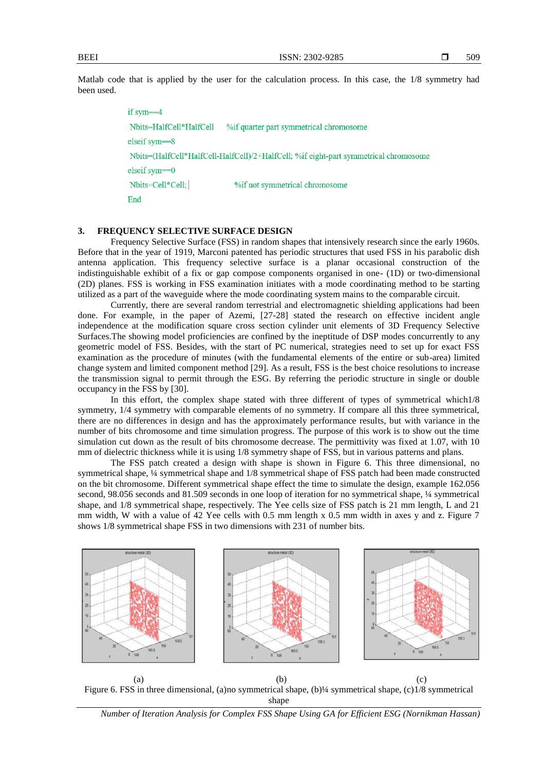509

Matlab code that is applied by the user for the calculation process. In this case, the 1/8 symmetry had been used.

> if sym= $=4$ Nbits=HalfCell\*HalfCell %if quarter part symmetrical chromosome elseif sym==8 Nbits=(HalfCell\*HalfCell-HalfCell)/2+HalfCell; %if eight-part symmetrical chromosome elseif sym==0 Nbits=Cell\*Cell; %if not symmetrical chromosome End

#### **3. FREQUENCY SELECTIVE SURFACE DESIGN**

Frequency Selective Surface (FSS) in random shapes that intensively research since the early 1960s. Before that in the year of 1919, Marconi patented has periodic structures that used FSS in his parabolic dish antenna application. This frequency selective surface is a planar occasional construction of the indistinguishable exhibit of a fix or gap compose components organised in one- (1D) or two-dimensional (2D) planes. FSS is working in FSS examination initiates with a mode coordinating method to be starting utilized as a part of the waveguide where the mode coordinating system mains to the comparable circuit.

Currently, there are several random terrestrial and electromagnetic shielding applications had been done. For example, in the paper of Azemi, [27-28] stated the research on effective incident angle independence at the modification square cross section cylinder unit elements of 3D Frequency Selective Surfaces.The showing model proficiencies are confined by the ineptitude of DSP modes concurrently to any geometric model of FSS. Besides, with the start of PC numerical, strategies need to set up for exact FSS examination as the procedure of minutes (with the fundamental elements of the entire or sub-area) limited change system and limited component method [29]. As a result, FSS is the best choice resolutions to increase the transmission signal to permit through the ESG. By referring the periodic structure in single or double occupancy in the FSS by [30].

In this effort, the complex shape stated with three different of types of symmetrical which1/8 symmetry, 1/4 symmetry with comparable elements of no symmetry. If compare all this three symmetrical, there are no differences in design and has the approximately performance results, but with variance in the number of bits chromosome and time simulation progress. The purpose of this work is to show out the time simulation cut down as the result of bits chromosome decrease. The permittivity was fixed at 1.07, with 10 mm of dielectric thickness while it is using 1/8 symmetry shape of FSS, but in various patterns and plans.

The FSS patch created a design with shape is shown in Figure 6. This three dimensional, no symmetrical shape, ¼ symmetrical shape and 1/8 symmetrical shape of FSS patch had been made constructed on the bit chromosome. Different symmetrical shape effect the time to simulate the design, example 162.056 second, 98.056 seconds and 81.509 seconds in one loop of iteration for no symmetrical shape, 1/4 symmetrical shape, and 1/8 symmetrical shape, respectively. The Yee cells size of FSS patch is 21 mm length, L and 21 mm width, W with a value of 42 Yee cells with 0.5 mm length x 0.5 mm width in axes y and z. Figure 7 shows 1/8 symmetrical shape FSS in two dimensions with 231 of number bits.



(a)  $(b)$  (c) Figure 6. FSS in three dimensional, (a)no symmetrical shape, (b)¼ symmetrical shape, (c)1/8 symmetrical shape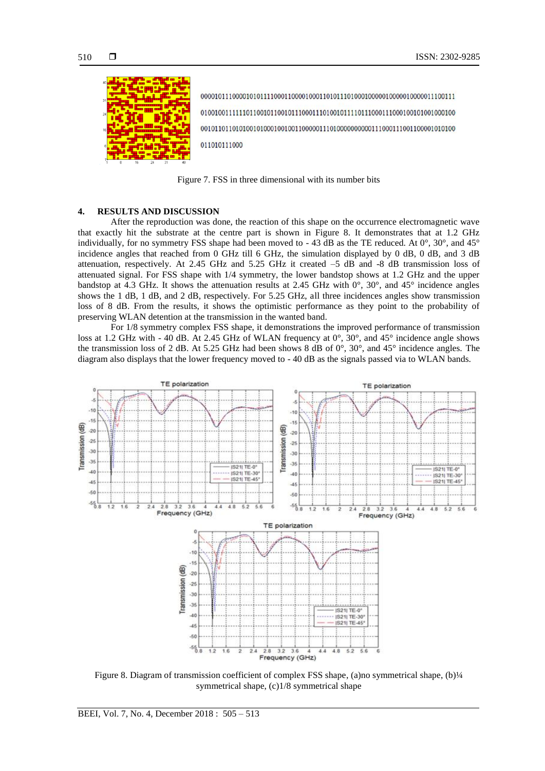



011010111000

Figure 7. FSS in three dimensional with its number bits

#### **4. RESULTS AND DISCUSSION**

After the reproduction was done, the reaction of this shape on the occurrence electromagnetic wave that exactly hit the substrate at the centre part is shown in Figure 8. It demonstrates that at 1.2 GHz individually, for no symmetry FSS shape had been moved to - 43 dB as the TE reduced. At 0°, 30°, and 45° incidence angles that reached from 0 GHz till 6 GHz, the simulation displayed by 0 dB, 0 dB, and 3 dB attenuation, respectively. At 2.45 GHz and 5.25 GHz it created –5 dB and -8 dB transmission loss of attenuated signal. For FSS shape with 1/4 symmetry, the lower bandstop shows at 1.2 GHz and the upper bandstop at 4.3 GHz. It shows the attenuation results at 2.45 GHz with  $0^{\circ}$ ,  $30^{\circ}$ , and  $45^{\circ}$  incidence angles shows the 1 dB, 1 dB, and 2 dB, respectively. For 5.25 GHz, all three incidences angles show transmission loss of 8 dB. From the results, it shows the optimistic performance as they point to the probability of preserving WLAN detention at the transmission in the wanted band.

For 1/8 symmetry complex FSS shape, it demonstrations the improved performance of transmission loss at 1.2 GHz with - 40 dB. At 2.45 GHz of WLAN frequency at  $0^\circ$ ,  $30^\circ$ , and  $45^\circ$  incidence angle shows the transmission loss of 2 dB. At 5.25 GHz had been shows 8 dB of 0°, 30°, and 45° incidence angles. The diagram also displays that the lower frequency moved to - 40 dB as the signals passed via to WLAN bands.



Figure 8. Diagram of transmission coefficient of complex FSS shape, (a)no symmetrical shape, (b)¼ symmetrical shape, (c)1/8 symmetrical shape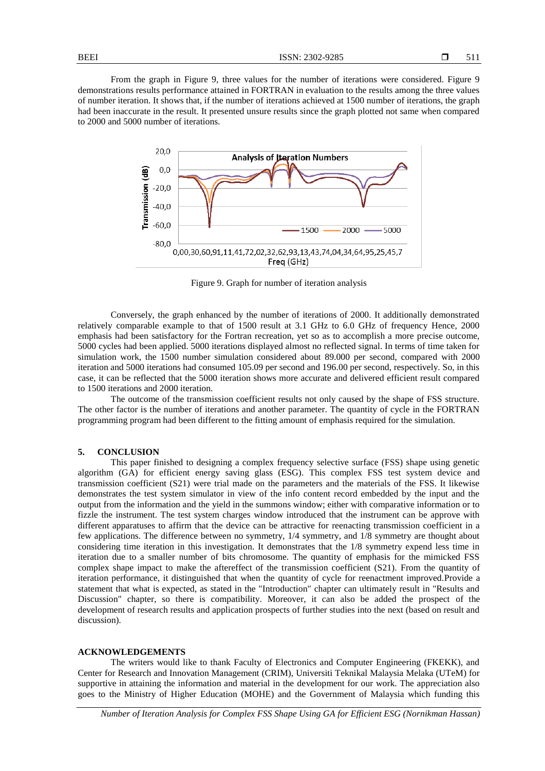From the graph in Figure 9, three values for the number of iterations were considered. Figure 9 demonstrations results performance attained in FORTRAN in evaluation to the results among the three values of number iteration. It shows that, if the number of iterations achieved at 1500 number of iterations, the graph had been inaccurate in the result. It presented unsure results since the graph plotted not same when compared to 2000 and 5000 number of iterations.



Figure 9. Graph for number of iteration analysis

Conversely, the graph enhanced by the number of iterations of 2000. It additionally demonstrated relatively comparable example to that of 1500 result at 3.1 GHz to 6.0 GHz of frequency Hence, 2000 emphasis had been satisfactory for the Fortran recreation, yet so as to accomplish a more precise outcome, 5000 cycles had been applied. 5000 iterations displayed almost no reflected signal. In terms of time taken for simulation work, the 1500 number simulation considered about 89.000 per second, compared with 2000 iteration and 5000 iterations had consumed 105.09 per second and 196.00 per second, respectively. So, in this case, it can be reflected that the 5000 iteration shows more accurate and delivered efficient result compared to 1500 iterations and 2000 iteration.

The outcome of the transmission coefficient results not only caused by the shape of FSS structure. The other factor is the number of iterations and another parameter. The quantity of cycle in the FORTRAN programming program had been different to the fitting amount of emphasis required for the simulation.

#### **5. CONCLUSION**

This paper finished to designing a complex frequency selective surface (FSS) shape using genetic algorithm (GA) for efficient energy saving glass (ESG). This complex FSS test system device and transmission coefficient (S21) were trial made on the parameters and the materials of the FSS. It likewise demonstrates the test system simulator in view of the info content record embedded by the input and the output from the information and the yield in the summons window; either with comparative information or to fizzle the instrument. The test system charges window introduced that the instrument can be approve with different apparatuses to affirm that the device can be attractive for reenacting transmission coefficient in a few applications. The difference between no symmetry, 1/4 symmetry, and 1/8 symmetry are thought about considering time iteration in this investigation. It demonstrates that the 1/8 symmetry expend less time in iteration due to a smaller number of bits chromosome. The quantity of emphasis for the mimicked FSS complex shape impact to make the aftereffect of the transmission coefficient (S21). From the quantity of iteration performance, it distinguished that when the quantity of cycle for reenactment improved.Provide a statement that what is expected, as stated in the "Introduction" chapter can ultimately result in "Results and Discussion" chapter, so there is compatibility. Moreover, it can also be added the prospect of the development of research results and application prospects of further studies into the next (based on result and discussion).

#### **ACKNOWLEDGEMENTS**

The writers would like to thank Faculty of Electronics and Computer Engineering (FKEKK), and Center for Research and Innovation Management (CRIM), Universiti Teknikal Malaysia Melaka (UTeM) for supportive in attaining the information and material in the development for our work. The appreciation also goes to the Ministry of Higher Education (MOHE) and the Government of Malaysia which funding this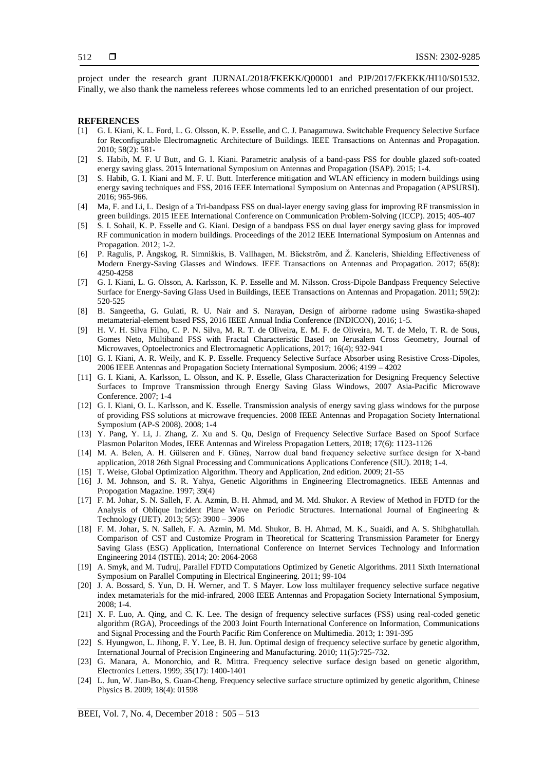project under the research grant JURNAL/2018/FKEKK/Q00001 and PJP/2017/FKEKK/HI10/S01532. Finally, we also thank the nameless referees whose comments led to an enriched presentation of our project.

#### **REFERENCES**

- [1] G. I. Kiani, K. L. Ford, L. G. Olsson, K. P. Esselle, and C. J. Panagamuwa. Switchable Frequency Selective Surface for Reconfigurable Electromagnetic Architecture of Buildings. IEEE Transactions on Antennas and Propagation. 2010; 58(2): 581-
- [2] S. Habib, M. F. U Butt, and G. I. Kiani. Parametric analysis of a band-pass FSS for double glazed soft-coated energy saving glass. 2015 International Symposium on Antennas and Propagation (ISAP). 2015; 1-4.
- [3] S. Habib, G. I. Kiani and M. F. U. Butt. Interference mitigation and WLAN efficiency in modern buildings using energy saving techniques and FSS, 2016 IEEE International Symposium on Antennas and Propagation (APSURSI). 2016; 965-966.
- [4] Ma, F. and Li, L. Design of a Tri-bandpass FSS on dual-layer energy saving glass for improving RF transmission in green buildings. 2015 IEEE International Conference on Communication Problem-Solving (ICCP). 2015; 405-407
- [5] S. I. Sohail, K. P. Esselle and G. Kiani. Design of a bandpass FSS on dual layer energy saving glass for improved RF communication in modern buildings. Proceedings of the 2012 IEEE International Symposium on Antennas and Propagation. 2012; 1-2.
- [6] P. Ragulis, P. Ängskog, R. Simniškis, B. Vallhagen, M. Bäckström, and Ž. Kancleris, Shielding Effectiveness of Modern Energy-Saving Glasses and Windows. IEEE Transactions on Antennas and Propagation. 2017; 65(8): 4250-4258
- [7] G. I. Kiani, L. G. Olsson, A. Karlsson, K. P. Esselle and M. Nilsson. Cross-Dipole Bandpass Frequency Selective Surface for Energy-Saving Glass Used in Buildings, IEEE Transactions on Antennas and Propagation. 2011; 59(2): 520-525
- [8] B. Sangeetha, G. Gulati, R. U. Nair and S. Narayan, Design of airborne radome using Swastika-shaped metamaterial-element based FSS, 2016 IEEE Annual India Conference (INDICON), 2016; 1-5.
- [9] H. V. H. Silva Filho, C. P. N. Silva, M. R. T. de Oliveira, E. M. F. de Oliveira, M. T. de Melo, T. R. de Sous, Gomes Neto, Multiband FSS with Fractal Characteristic Based on Jerusalem Cross Geometry, Journal of Microwaves, Optoelectronics and Electromagnetic Applications, 2017; 16(4); 932-941
- [10] G. I. Kiani, A. R. Weily, and K. P. Esselle. Frequency Selective Surface Absorber using Resistive Cross-Dipoles, 2006 IEEE Antennas and Propagation Society International Symposium. 2006; 4199 – 4202
- [11] G. I. Kiani, A. Karlsson, L. Olsson, and K. P. Esselle, Glass Characterization for Designing Frequency Selective Surfaces to Improve Transmission through Energy Saving Glass Windows, 2007 Asia-Pacific Microwave Conference. 2007; 1-4
- [12] G. I. Kiani, O. L. Karlsson, and K. Esselle. Transmission analysis of energy saving glass windows for the purpose of providing FSS solutions at microwave frequencies. 2008 IEEE Antennas and Propagation Society International Symposium (AP-S 2008). 2008; 1-4
- [13] Y. Pang, Y. Li, J. Zhang, Z. Xu and S. Qu, Design of Frequency Selective Surface Based on Spoof Surface Plasmon Polariton Modes, IEEE Antennas and Wireless Propagation Letters, 2018; 17(6): 1123-1126
- [14] M. A. Belen, A. H. Gülseren and F. Güneş, Narrow dual band frequency selective surface design for X-band application, 2018 26th Signal Processing and Communications Applications Conference (SIU). 2018; 1-4.
- [15] T. Weise, Global Optimization Algorithm. Theory and Application, 2nd edition. 2009; 21-55
- [16] J. M. Johnson, and S. R. Yahya, Genetic Algorithms in Engineering Electromagnetics. IEEE Antennas and Propogation Magazine. 1997; 39(4)
- [17] F. M. Johar, S. N. Salleh, F. A. Azmin, B. H. Ahmad, and M. Md. Shukor. A Review of Method in FDTD for the Analysis of Oblique Incident Plane Wave on Periodic Structures. International Journal of Engineering & Technology (IJET). 2013; 5(5): 3900 – 3906
- [18] F. M. Johar, S. N. Salleh, F. A. Azmin, M. Md. Shukor, B. H. Ahmad, M. K., Suaidi, and A. S. Shibghatullah. Comparison of CST and Customize Program in Theoretical for Scattering Transmission Parameter for Energy Saving Glass (ESG) Application, International Conference on Internet Services Technology and Information Engineering 2014 (ISTIE). 2014; 20: 2064-2068
- [19] A. Smyk, and M. Tudruj, Parallel FDTD Computations Optimized by Genetic Algorithms. 2011 Sixth International Symposium on Parallel Computing in Electrical Engineering. 2011; 99-104
- [20] J. A. Bossard, S. Yun, D. H. Werner, and T. S Mayer. Low loss multilayer frequency selective surface negative index metamaterials for the mid-infrared, 2008 IEEE Antennas and Propagation Society International Symposium, 2008; 1-4.
- [21] X. F. Luo, A. Qing, and C. K. Lee. The design of frequency selective surfaces (FSS) using real-coded genetic algorithm (RGA), Proceedings of the 2003 Joint Fourth International Conference on Information, Communications and Signal Processing and the Fourth Pacific Rim Conference on Multimedia. 2013; 1: 391-395
- [22] S. Hyungwon, L. Jihong, F. Y. Lee, B. H. Jun. Optimal design of frequency selective surface by genetic algorithm, International Journal of Precision Engineering and Manufacturing. 2010; 11(5):725-732.
- [23] G. Manara, A. Monorchio, and R. Mittra. Frequency selective surface design based on genetic algorithm, Electronics Letters. 1999; 35(17): 1400-1401
- [24] L. Jun, W. Jian-Bo, S. Guan-Cheng. Frequency selective surface structure optimized by genetic algorithm, Chinese Physics B. 2009; 18(4): 01598